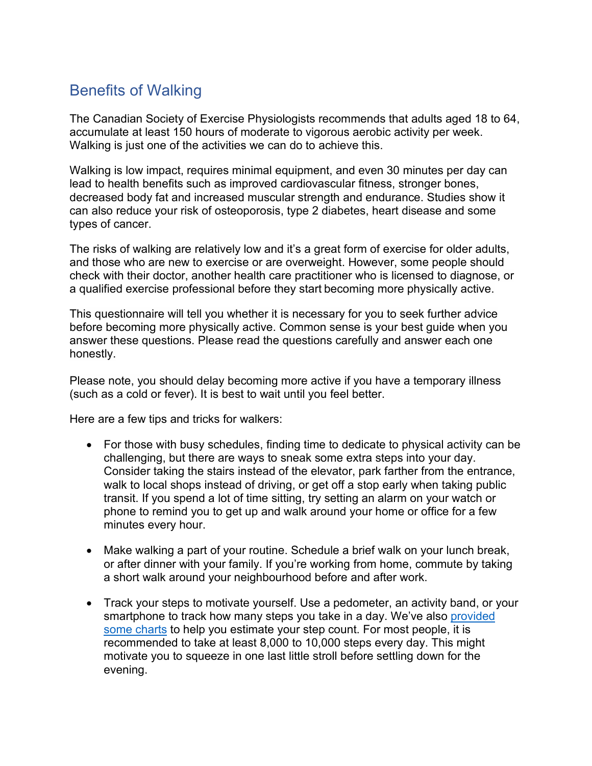## Benefits of Walking

The Canadian Society of Exercise Physiologists recommends that adults aged 18 to 64, accumulate at least 150 hours of moderate to vigorous aerobic activity per week. Walking is just one of the activities we can do to achieve this.

Walking is low impact, requires minimal equipment, and even 30 minutes per day can lead to health benefits such as improved cardiovascular fitness, stronger bones, decreased body fat and increased muscular strength and endurance. Studies show it can also reduce your risk of osteoporosis, type 2 diabetes, heart disease and some types of cancer.

The risks of walking are relatively low and it's a great form of exercise for older adults, and those who are new to exercise or are overweight. However, some people should check with their doctor, another health care practitioner who is licensed to diagnose, or a qualified exercise professional before they start becoming more physically active.

[This questionnaire](https://www.clarington.net/en/be-active/physical-activity-readiness-questionnaire.asp) will tell you whether it is necessary for you to seek further advice before becoming more physically active. Common sense is your best guide when you answer these questions. Please read the questions carefully and answer each one honestly.

Please note, you should delay becoming more active if you have a temporary illness (such as a cold or fever). It is best to wait until you feel better.

Here are a few tips and tricks for walkers:

- For those with busy schedules, finding time to dedicate to physical activity can be challenging, but there are ways to sneak some extra steps into your day. Consider taking the stairs instead of the elevator, park farther from the entrance, walk to local shops instead of driving, or get off a stop early when taking public transit. If you spend a lot of time sitting, try setting an alarm on your watch or phone to remind you to get up and walk around your home or office for a few minutes every hour.
- Make walking a part of your routine. Schedule a brief walk on your lunch break, or after dinner with your family. If you're working from home, commute by taking a short walk around your neighbourhood before and after work.
- Track your steps to motivate yourself. Use a pedometer, an activity band, or your smartphone to track how many steps you take in a day. We've also provided [some charts](https://www.clarington.net/en/be-active/resources/Clarington-Walks/tracking-your-steps.pdf) to help you estimate your step count. For most people, it is recommended to take at least 8,000 to 10,000 steps every day. This might motivate you to squeeze in one last little stroll before settling down for the evening.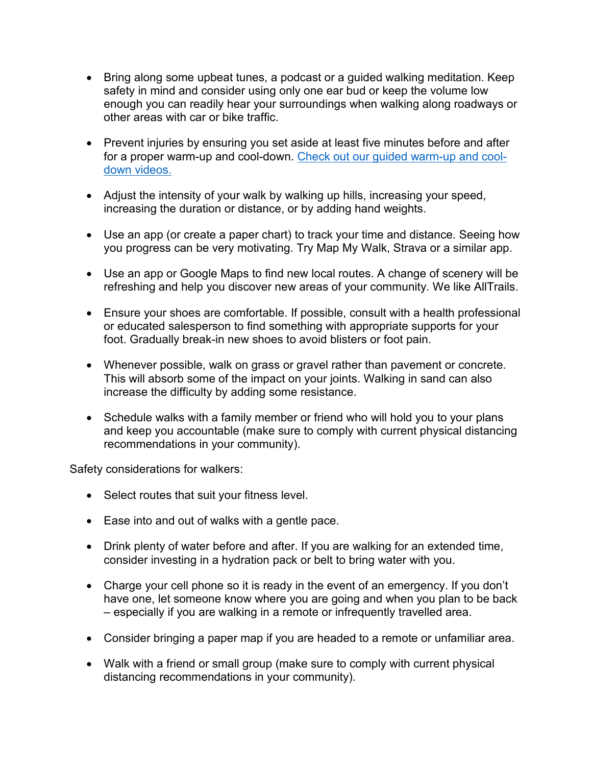- Bring along some upbeat tunes, a podcast or a guided walking meditation. Keep safety in mind and consider using only one ear bud or keep the volume low enough you can readily hear your surroundings when walking along roadways or other areas with car or bike traffic.
- Prevent injuries by ensuring you set aside at least five minutes before and after for a proper warm-up and cool-down. [Check out our guided warm-up and cool](https://www.youtube.com/playlist?list=PLPnby1wCTLtk8WcOSC_eOCEXUpsbX1G8E)[down videos.](https://www.youtube.com/playlist?list=PLPnby1wCTLtk8WcOSC_eOCEXUpsbX1G8E)
- Adjust the intensity of your walk by walking up hills, increasing your speed, increasing the duration or distance, or by adding hand weights.
- Use an app (or create a paper chart) to track your time and distance. Seeing how you progress can be very motivating. Try Map My Walk, Strava or a similar app.
- Use an app or Google Maps to find new local routes. A change of scenery will be refreshing and help you discover new areas of your community. We like AllTrails.
- Ensure your shoes are comfortable. If possible, consult with a health professional or educated salesperson to find something with appropriate supports for your foot. Gradually break-in new shoes to avoid blisters or foot pain.
- Whenever possible, walk on grass or gravel rather than pavement or concrete. This will absorb some of the impact on your joints. Walking in sand can also increase the difficulty by adding some resistance.
- Schedule walks with a family member or friend who will hold you to your plans and keep you accountable (make sure to comply with current physical distancing recommendations in your community).

Safety considerations for walkers:

- Select routes that suit your fitness level.
- Ease into and out of walks with a gentle pace.
- Drink plenty of water before and after. If you are walking for an extended time, consider investing in a hydration pack or belt to bring water with you.
- Charge your cell phone so it is ready in the event of an emergency. If you don't have one, let someone know where you are going and when you plan to be back – especially if you are walking in a remote or infrequently travelled area.
- Consider bringing a paper map if you are headed to a remote or unfamiliar area.
- Walk with a friend or small group (make sure to comply with current physical distancing recommendations in your community).